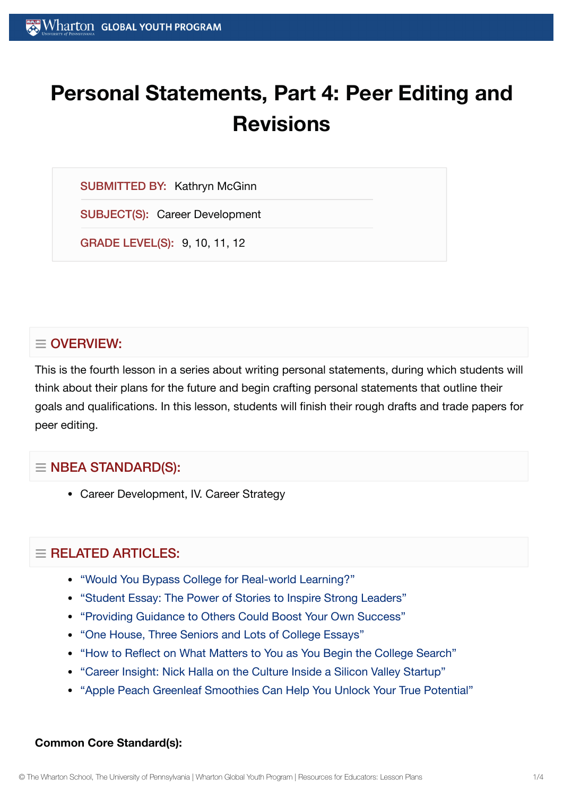# **Personal Statements, Part 4: Peer Editing and Revisions**

SUBMITTED BY: Kathryn McGinn

SUBJECT(S): Career Development

GRADE LEVEL(S): 9, 10, 11, 12

# $\equiv$  OVERVIEW:

This is the fourth lesson in a series about writing personal statements, during which students will think about their plans for the future and begin crafting personal statements that outline their goals and qualifications. In this lesson, students will finish their rough drafts and trade papers for peer editing.

# $\equiv$  NBEA STANDARD(S):

Career Development, IV. Career Strategy

# $\equiv$  RELATED ARTICLES:

- "Would You [Bypass College](https://globalyouth.wharton.upenn.edu/articles/bypass-college-for-real-world-learning/) for Real-world Learning?"
- "Student Essay: The Power of [Stories to](https://globalyouth.wharton.upenn.edu/articles/student-essay-power-stories-inspire-strong-leaders/) Inspire Strong Leaders"
- "Providing Guidance to [Others Could](https://globalyouth.wharton.upenn.edu/articles/share-guidance-boost-success/) Boost Your Own Success"
- "One House, Three [Seniors and](https://globalyouth.wharton.upenn.edu/articles/one-house-three-seniors-lots-college-essays/) Lots of College Essays"
- "How to Reflect on What [Matters to](https://globalyouth.wharton.upenn.edu/articles/how-to-reflect-on-what-matters-to-you-as-begin-college-search/) You as You Begin the College Search"
- "Career Insight: Nick Halla on the Culture Inside a Silicon [Valley Startup"](https://globalyouth.wharton.upenn.edu/articles/career-insight-nick-halla-culture-hiring-inside-silicon-valley-startup/)
- "Apple Peach Greenleaf [Smoothies Can](https://globalyouth.wharton.upenn.edu/articles/apple-peach-greenleaf-smoothies-can-help-unlock-true-potential/) Help You Unlock Your True Potential"

#### **Common Core Standard(s):**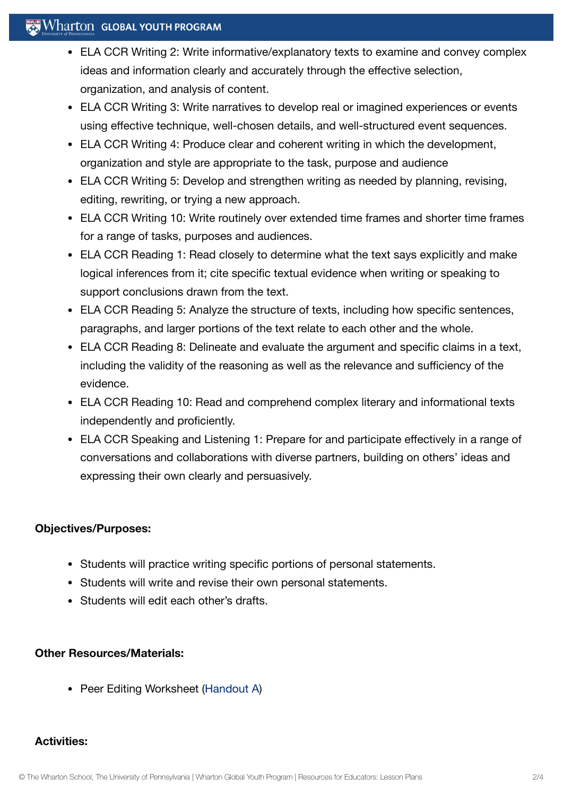# $\mathbb{R}$  Wharton Global Youth Program

- ELA CCR Writing 2: Write informative/explanatory texts to examine and convey complex ideas and information clearly and accurately through the effective selection, organization, and analysis of content.
- ELA CCR Writing 3: Write narratives to develop real or imagined experiences or events using effective technique, well-chosen details, and well-structured event sequences.
- ELA CCR Writing 4: Produce clear and coherent writing in which the development, organization and style are appropriate to the task, purpose and audience
- ELA CCR Writing 5: Develop and strengthen writing as needed by planning, revising, editing, rewriting, or trying a new approach.
- ELA CCR Writing 10: Write routinely over extended time frames and shorter time frames for a range of tasks, purposes and audiences.
- ELA CCR Reading 1: Read closely to determine what the text says explicitly and make logical inferences from it; cite specific textual evidence when writing or speaking to support conclusions drawn from the text.
- ELA CCR Reading 5: Analyze the structure of texts, including how specific sentences, paragraphs, and larger portions of the text relate to each other and the whole.
- ELA CCR Reading 8: Delineate and evaluate the argument and specific claims in a text, including the validity of the reasoning as well as the relevance and sufficiency of the evidence.
- ELA CCR Reading 10: Read and comprehend complex literary and informational texts independently and proficiently.
- ELA CCR Speaking and Listening 1: Prepare for and participate effectively in a range of conversations and collaborations with diverse partners, building on others' ideas and expressing their own clearly and persuasively.

#### **Objectives/Purposes:**

- Students will practice writing specific portions of personal statements.
- Students will write and revise their own personal statements.
- Students will edit each other's drafts.

#### **Other Resources/Materials:**

• Peer Editing Worksheet ([Handout](https://globalyouth.wharton.upenn.edu/wp-content/uploads/2012/01/Career-Development-18_Caree.handoutA.pdf) A)

#### **Activities:**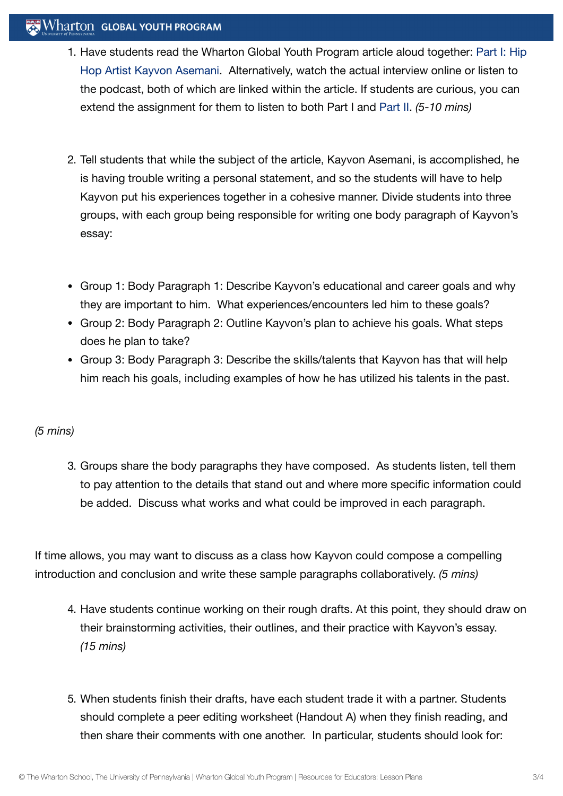# Wharton GLOBAL YOUTH PROGRAM

- 1. Have [students read](https://globalyouth.wharton.upenn.edu/articles/hip-hop-artist-kayvon-asemani-building-brand-ground/) the Wharton Global Youth Program article aloud together: Part I: Hip Hop Artist Kayvon Asemani. Alternatively, watch the actual interview online or listen to the podcast, both of which are linked within the article. If students are curious, you can extend the assignment for them to listen to both Part I and [Part](https://globalyouth.wharton.upenn.edu/articles/part-2-hip-hop-artist-kayvon-asemani-building-brand-controlling-destiny/) II. *(5-10 mins)*
- 2. Tell students that while the subject of the article, Kayvon Asemani, is accomplished, he is having trouble writing a personal statement, and so the students will have to help Kayvon put his experiences together in a cohesive manner. Divide students into three groups, with each group being responsible for writing one body paragraph of Kayvon's essay:
- Group 1: Body Paragraph 1: Describe Kayvon's educational and career goals and why they are important to him. What experiences/encounters led him to these goals?
- Group 2: Body Paragraph 2: Outline Kayvon's plan to achieve his goals. What steps does he plan to take?
- Group 3: Body Paragraph 3: Describe the skills/talents that Kayvon has that will help him reach his goals, including examples of how he has utilized his talents in the past.

# *(5 mins)*

3. Groups share the body paragraphs they have composed. As students listen, tell them to pay attention to the details that stand out and where more specific information could be added. Discuss what works and what could be improved in each paragraph.

If time allows, you may want to discuss as a class how Kayvon could compose a compelling introduction and conclusion and write these sample paragraphs collaboratively. *(5 mins)*

- 4. Have students continue working on their rough drafts. At this point, they should draw on their brainstorming activities, their outlines, and their practice with Kayvon's essay. *(15 mins)*
- 5. When students finish their drafts, have each student trade it with a partner. Students should complete a peer editing worksheet (Handout A) when they finish reading, and then share their comments with one another. In particular, students should look for: